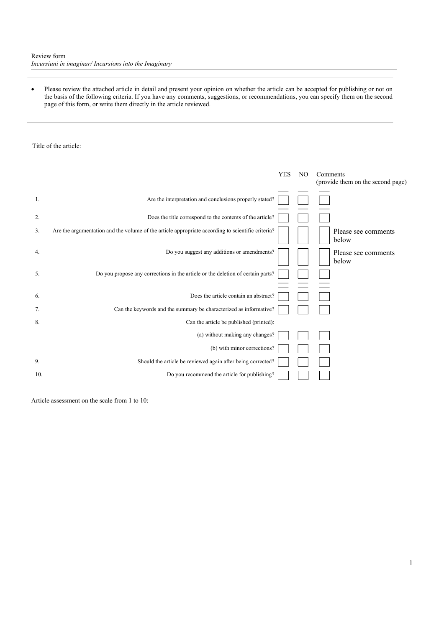• Please review the attached article in detail and present your opinion on whether the article can be accepted for publishing or not on the basis of the following criteria. If you have any comments, suggestions, or recommendations, you can specify them on the second page of this form, or write them directly in the article reviewed.

| Title of the article: |
|-----------------------|
|-----------------------|

|     | <b>YES</b>                                                                                        | N <sub>O</sub> | Comments<br>(provide them on the second page) |
|-----|---------------------------------------------------------------------------------------------------|----------------|-----------------------------------------------|
| 1.  | Are the interpretation and conclusions properly stated?                                           |                |                                               |
| 2.  | Does the title correspond to the contents of the article?                                         |                |                                               |
| 3.  | Are the argumentation and the volume of the article appropriate according to scientific criteria? |                | Please see comments<br>below                  |
| 4.  | Do you suggest any additions or amendments?                                                       |                | Please see comments<br>below                  |
| 5.  | Do you propose any corrections in the article or the deletion of certain parts?                   |                |                                               |
| 6.  | Does the article contain an abstract?                                                             |                |                                               |
| 7.  | Can the keywords and the summary be characterized as informative?                                 |                |                                               |
| 8.  | Can the article be published (printed):                                                           |                |                                               |
|     | (a) without making any changes?                                                                   |                |                                               |
|     | (b) with minor corrections?                                                                       |                |                                               |
| 9.  | Should the article be reviewed again after being corrected?                                       |                |                                               |
| 10. | Do you recommend the article for publishing?                                                      |                |                                               |

Article assessment on the scale from 1 to 10: